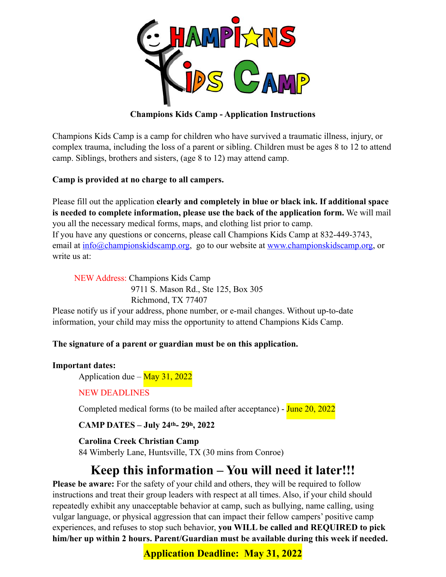

# **Champions Kids Camp - Application Instructions**

Champions Kids Camp is a camp for children who have survived a traumatic illness, injury, or complex trauma, including the loss of a parent or sibling. Children must be ages 8 to 12 to attend camp. Siblings, brothers and sisters, (age 8 to 12) may attend camp.

# **Camp is provided at no charge to all campers.**

Please fill out the application **clearly and completely in blue or black ink. If additional space is needed to complete information, please use the back of the application form.** We will mail you all the necessary medical forms, maps, and clothing list prior to camp. If you have any questions or concerns, please call Champions Kids Camp at 832-449-3743, email at [info@championskidscamp.org](mailto:info@championskidscamp.org), go to our website at [www.championskidscamp.org](http://www.championskidscamp.org), or write us at:

 NEW Address: Champions Kids Camp 9711 S. Mason Rd., Ste 125, Box 305 Richmond, TX 77407

Please notify us if your address, phone number, or e-mail changes. Without up-to-date information, your child may miss the opportunity to attend Champions Kids Camp.

## **The signature of a parent or guardian must be on this application.**

## **Important dates:**

Application due –  $\frac{\text{May }31, 2022}{\text{My }31}$ 

# NEW DEADLINES

Completed medical forms (to be mailed after acceptance) - June 20, 2022

# **CAMP DATES – July 24th- 29h, 2022**

**Carolina Creek Christian Camp** 

84 Wimberly Lane, Huntsville, TX (30 mins from Conroe)

# **Keep this information – You will need it later!!!**

**Please be aware:** For the safety of your child and others, they will be required to follow instructions and treat their group leaders with respect at all times. Also, if your child should repeatedly exhibit any unacceptable behavior at camp, such as bullying, name calling, using vulgar language, or physical aggression that can impact their fellow campers' positive camp experiences, and refuses to stop such behavior, **you WILL be called and REQUIRED to pick him/her up within 2 hours. Parent/Guardian must be available during this week if needed.**

**Application Deadline: May 31, 2022**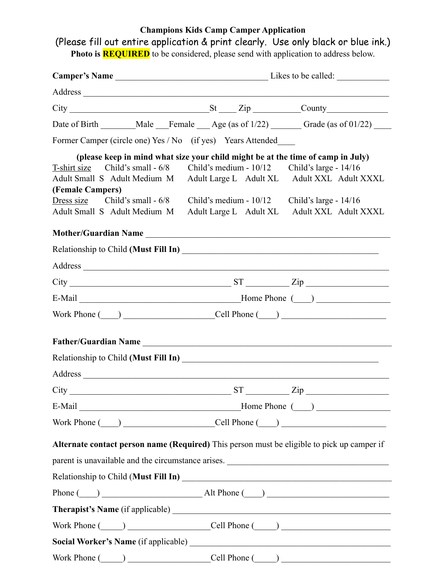# **Champions Kids Camp Camper Application**

(Please fill out entire application & print clearly. Use only black or blue ink.) **Photo is <b>REQUIRED** to be considered, please send with application to address below.

|                                                             |  |                                       | $City$ $St$ $Zip$ $\_$ $County$                                                                                                                                                                                                                                                                                                                        |  |
|-------------------------------------------------------------|--|---------------------------------------|--------------------------------------------------------------------------------------------------------------------------------------------------------------------------------------------------------------------------------------------------------------------------------------------------------------------------------------------------------|--|
|                                                             |  |                                       |                                                                                                                                                                                                                                                                                                                                                        |  |
| Former Camper (circle one) Yes / No (if yes) Years Attended |  |                                       |                                                                                                                                                                                                                                                                                                                                                        |  |
| (Female Campers)<br>Adult Small S Adult Medium M            |  | Adult Large L Adult XL                | (please keep in mind what size your child might be at the time of camp in July)<br>T-shirt size Child's small - 6/8 Child's medium - 10/12 Child's large - 14/16<br>Adult Small S Adult Medium M Adult Large L Adult XL Adult XXL Adult XXXL<br>Dress size Child's small $-6/8$ Child's medium $-10/12$ Child's large $-14/16$<br>Adult XXL Adult XXXL |  |
|                                                             |  |                                       | Mother/Guardian Name                                                                                                                                                                                                                                                                                                                                   |  |
|                                                             |  |                                       |                                                                                                                                                                                                                                                                                                                                                        |  |
|                                                             |  |                                       |                                                                                                                                                                                                                                                                                                                                                        |  |
|                                                             |  |                                       | $\text{City}$ $\text{City}$ $\text{Fig}$ $\text{Fig}$ $\text{Zip}$                                                                                                                                                                                                                                                                                     |  |
|                                                             |  |                                       |                                                                                                                                                                                                                                                                                                                                                        |  |
|                                                             |  |                                       | Work Phone $(\_\_)$ $\_\_$ Cell Phone $(\_\_)$                                                                                                                                                                                                                                                                                                         |  |
|                                                             |  |                                       | Father/Guardian Name                                                                                                                                                                                                                                                                                                                                   |  |
|                                                             |  | <b>ST</b><br><b>Contract Contract</b> | $\frac{2}{\pi}$                                                                                                                                                                                                                                                                                                                                        |  |
|                                                             |  |                                       |                                                                                                                                                                                                                                                                                                                                                        |  |
|                                                             |  |                                       | Work Phone $(\_\_)$ $\_\_$ Cell Phone $(\_\_)$                                                                                                                                                                                                                                                                                                         |  |
|                                                             |  |                                       | Alternate contact person name (Required) This person must be eligible to pick up camper if                                                                                                                                                                                                                                                             |  |
|                                                             |  |                                       |                                                                                                                                                                                                                                                                                                                                                        |  |
|                                                             |  |                                       | Phone $(\_\_)$ $\_\_$ Alt Phone $(\_\_)$                                                                                                                                                                                                                                                                                                               |  |
|                                                             |  |                                       |                                                                                                                                                                                                                                                                                                                                                        |  |
|                                                             |  |                                       | Work Phone $(\_\_)$ $\_\_$ Cell Phone $(\_\_)$                                                                                                                                                                                                                                                                                                         |  |
|                                                             |  |                                       |                                                                                                                                                                                                                                                                                                                                                        |  |
| $Work Phone ( )$ $Cell Phone ( )$                           |  |                                       |                                                                                                                                                                                                                                                                                                                                                        |  |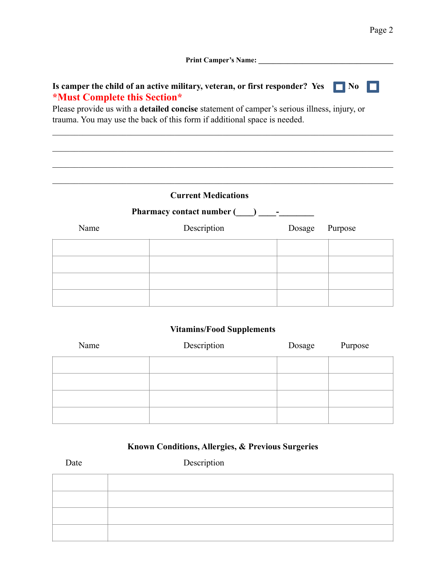Print Camper's Name:

 $\mathcal{L}_\mathcal{L} = \{ \mathcal{L}_\mathcal{L} = \{ \mathcal{L}_\mathcal{L} = \{ \mathcal{L}_\mathcal{L} = \{ \mathcal{L}_\mathcal{L} = \{ \mathcal{L}_\mathcal{L} = \{ \mathcal{L}_\mathcal{L} = \{ \mathcal{L}_\mathcal{L} = \{ \mathcal{L}_\mathcal{L} = \{ \mathcal{L}_\mathcal{L} = \{ \mathcal{L}_\mathcal{L} = \{ \mathcal{L}_\mathcal{L} = \{ \mathcal{L}_\mathcal{L} = \{ \mathcal{L}_\mathcal{L} = \{ \mathcal{L}_\mathcal{$ 

 $\mathcal{L}_\mathcal{L} = \{ \mathcal{L}_\mathcal{L} = \{ \mathcal{L}_\mathcal{L} = \{ \mathcal{L}_\mathcal{L} = \{ \mathcal{L}_\mathcal{L} = \{ \mathcal{L}_\mathcal{L} = \{ \mathcal{L}_\mathcal{L} = \{ \mathcal{L}_\mathcal{L} = \{ \mathcal{L}_\mathcal{L} = \{ \mathcal{L}_\mathcal{L} = \{ \mathcal{L}_\mathcal{L} = \{ \mathcal{L}_\mathcal{L} = \{ \mathcal{L}_\mathcal{L} = \{ \mathcal{L}_\mathcal{L} = \{ \mathcal{L}_\mathcal{$ 

 $\mathcal{L}_\mathcal{L} = \{ \mathcal{L}_\mathcal{L} = \{ \mathcal{L}_\mathcal{L} = \{ \mathcal{L}_\mathcal{L} = \{ \mathcal{L}_\mathcal{L} = \{ \mathcal{L}_\mathcal{L} = \{ \mathcal{L}_\mathcal{L} = \{ \mathcal{L}_\mathcal{L} = \{ \mathcal{L}_\mathcal{L} = \{ \mathcal{L}_\mathcal{L} = \{ \mathcal{L}_\mathcal{L} = \{ \mathcal{L}_\mathcal{L} = \{ \mathcal{L}_\mathcal{L} = \{ \mathcal{L}_\mathcal{L} = \{ \mathcal{L}_\mathcal{$ 

 $\mathcal{L}_\mathcal{L} = \{ \mathcal{L}_\mathcal{L} = \{ \mathcal{L}_\mathcal{L} = \{ \mathcal{L}_\mathcal{L} = \{ \mathcal{L}_\mathcal{L} = \{ \mathcal{L}_\mathcal{L} = \{ \mathcal{L}_\mathcal{L} = \{ \mathcal{L}_\mathcal{L} = \{ \mathcal{L}_\mathcal{L} = \{ \mathcal{L}_\mathcal{L} = \{ \mathcal{L}_\mathcal{L} = \{ \mathcal{L}_\mathcal{L} = \{ \mathcal{L}_\mathcal{L} = \{ \mathcal{L}_\mathcal{L} = \{ \mathcal{L}_\mathcal{$ 

# **Is camper the child of an active military, veteran, or first responder? Yes**  $\Box$  **No \*Must Complete this Section\***

Please provide us with a **detailed concise** statement of camper's serious illness, injury, or trauma. You may use the back of this form if additional space is needed.

# **Current Medications**

| <b>Pharmacy contact number (Space)</b> |             |        |         |
|----------------------------------------|-------------|--------|---------|
| Name                                   | Description | Dosage | Purpose |
|                                        |             |        |         |
|                                        |             |        |         |
|                                        |             |        |         |
|                                        |             |        |         |

## **Vitamins/Food Supplements**

| Name | Description | Dosage | Purpose |
|------|-------------|--------|---------|
|      |             |        |         |
|      |             |        |         |
|      |             |        |         |
|      |             |        |         |

# **Known Conditions, Allergies, & Previous Surgeries**

| Date | Description |
|------|-------------|
|      |             |
|      |             |
|      |             |
|      |             |